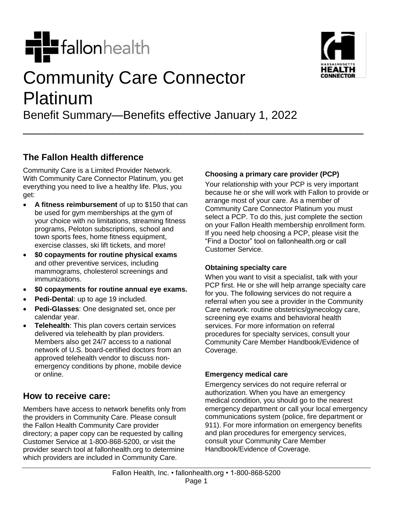

# Community Care Connector Platinum

Benefit Summary—Benefits effective January 1, 2022

\_\_\_\_\_\_\_\_\_\_\_\_\_\_\_\_\_\_\_\_\_\_\_\_\_\_\_\_\_\_\_\_\_\_\_\_\_\_\_\_\_\_\_\_\_\_\_\_\_\_\_\_\_

## **The Fallon Health difference**

Community Care is a Limited Provider Network. With Community Care Connector Platinum, you get everything you need to live a healthy life. Plus, you get:

- **A fitness reimbursement** of up to \$150 that can be used for gym memberships at the gym of your choice with no limitations, streaming fitness programs, Peloton subscriptions, school and town sports fees, home fitness equipment, exercise classes, ski lift tickets, and more!
- **\$0 copayments for routine physical exams** and other preventive services, including mammograms, cholesterol screenings and immunizations.
- **\$0 copayments for routine annual eye exams.**
- **Pedi-Dental**: up to age 19 included.
- **Pedi-Glasses**: One designated set, once per calendar year.
- **Telehealth**: This plan covers certain services delivered via telehealth by plan providers. Members also get 24/7 access to a national network of U.S. board-certified doctors from an approved telehealth vendor to discuss nonemergency conditions by phone, mobile device or online.

## **How to receive care:**

Members have access to network benefits only from the providers in Community Care. Please consult the Fallon Health Community Care provider directory; a paper copy can be requested by calling Customer Service at 1-800-868-5200, or visit the provider search tool at fallonhealth.org to determine which providers are included in Community Care.

### **Choosing a primary care provider (PCP)**

Your relationship with your PCP is very important because he or she will work with Fallon to provide or arrange most of your care. As a member of Community Care Connector Platinum you must select a PCP. To do this, just complete the section on your Fallon Health membership enrollment form. If you need help choosing a PCP, please visit the "Find a Doctor" tool on fallonhealth.org or call Customer Service.

#### **Obtaining specialty care**

When you want to visit a specialist, talk with your PCP first. He or she will help arrange specialty care for you. The following services do not require a referral when you see a provider in the Community Care network: routine obstetrics/gynecology care, screening eye exams and behavioral health services. For more information on referral procedures for specialty services, consult your Community Care Member Handbook/Evidence of Coverage.

#### **Emergency medical care**

Emergency services do not require referral or authorization. When you have an emergency medical condition, you should go to the nearest emergency department or call your local emergency communications system (police, fire department or 911). For more information on emergency benefits and plan procedures for emergency services, consult your Community Care Member Handbook/Evidence of Coverage.

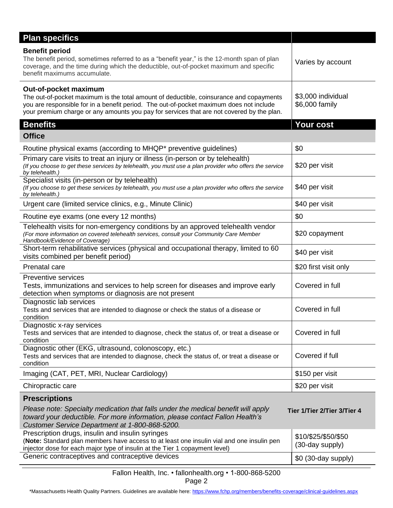| <b>Plan specifics</b>                                                                                                                                                                                                                                                                                    |                                        |
|----------------------------------------------------------------------------------------------------------------------------------------------------------------------------------------------------------------------------------------------------------------------------------------------------------|----------------------------------------|
| <b>Benefit period</b><br>The benefit period, sometimes referred to as a "benefit year," is the 12-month span of plan<br>coverage, and the time during which the deductible, out-of-pocket maximum and specific<br>benefit maximums accumulate.                                                           | Varies by account                      |
| Out-of-pocket maximum<br>The out-of-pocket maximum is the total amount of deductible, coinsurance and copayments<br>you are responsible for in a benefit period. The out-of-pocket maximum does not include<br>your premium charge or any amounts you pay for services that are not covered by the plan. | \$3,000 individual<br>\$6,000 family   |
| <b>Benefits</b>                                                                                                                                                                                                                                                                                          | Your cost                              |
| <b>Office</b>                                                                                                                                                                                                                                                                                            |                                        |
| Routine physical exams (according to MHQP* preventive guidelines)                                                                                                                                                                                                                                        | \$0                                    |
| Primary care visits to treat an injury or illness (in-person or by telehealth)<br>(If you choose to get these services by telehealth, you must use a plan provider who offers the service<br>by telehealth.                                                                                              | \$20 per visit                         |
| Specialist visits (in-person or by telehealth)<br>(If you choose to get these services by telehealth, you must use a plan provider who offers the service<br>by telehealth.)                                                                                                                             | \$40 per visit                         |
| Urgent care (limited service clinics, e.g., Minute Clinic)                                                                                                                                                                                                                                               | \$40 per visit                         |
| Routine eye exams (one every 12 months)                                                                                                                                                                                                                                                                  | \$0                                    |
| Telehealth visits for non-emergency conditions by an approved telehealth vendor<br>(For more information on covered telehealth services, consult your Community Care Member<br>Handbook/Evidence of Coverage)                                                                                            | \$20 copayment                         |
| Short-term rehabilitative services (physical and occupational therapy, limited to 60<br>visits combined per benefit period)                                                                                                                                                                              | \$40 per visit                         |
| Prenatal care                                                                                                                                                                                                                                                                                            | \$20 first visit only                  |
| <b>Preventive services</b><br>Tests, immunizations and services to help screen for diseases and improve early<br>detection when symptoms or diagnosis are not present                                                                                                                                    | Covered in full                        |
| Diagnostic lab services<br>Tests and services that are intended to diagnose or check the status of a disease or<br>condition                                                                                                                                                                             | Covered in full                        |
| Diagnostic x-ray services<br>Tests and services that are intended to diagnose, check the status of, or treat a disease or<br>condition                                                                                                                                                                   | Covered in full                        |
| Diagnostic other (EKG, ultrasound, colonoscopy, etc.)<br>Tests and services that are intended to diagnose, check the status of, or treat a disease or<br>condition                                                                                                                                       | Covered if full                        |
| Imaging (CAT, PET, MRI, Nuclear Cardiology)                                                                                                                                                                                                                                                              | \$150 per visit                        |
| Chiropractic care                                                                                                                                                                                                                                                                                        | \$20 per visit                         |
| <b>Prescriptions</b><br>Please note: Specialty medication that falls under the medical benefit will apply<br>toward your deductible. For more information, please contact Fallon Health's<br>Customer Service Department at 1-800-868-5200.                                                              | Tier 1/Tier 2/Tier 3/Tier 4            |
| Prescription drugs, insulin and insulin syringes<br>(Note: Standard plan members have access to at least one insulin vial and one insulin pen<br>injector dose for each major type of insulin at the Tier 1 copayment level)                                                                             | \$10/\$25/\$50/\$50<br>(30-day supply) |
| Generic contraceptives and contraceptive devices                                                                                                                                                                                                                                                         | \$0 (30-day supply)                    |
| Eallen Health Inc. • fallenbealth arg • 1-800-868-5200                                                                                                                                                                                                                                                   |                                        |

#### Fallon Health, Inc. • fallonhealth.org • 1-800-868-5200 Page 2

\*Massachusetts Health Quality Partners. Guidelines are available here:<https://www.fchp.org/members/benefits-coverage/clinical-guidelines.aspx>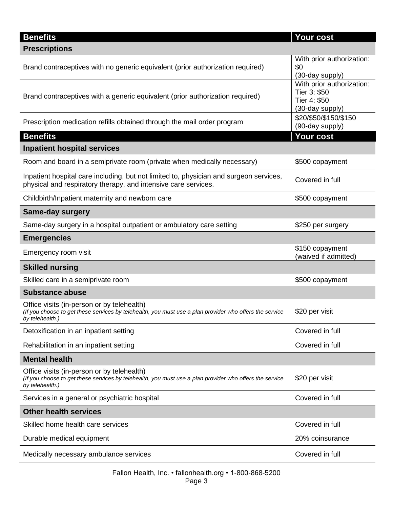| <b>Benefits</b>                                                                                                                                                          | <b>Your cost</b>                                                             |
|--------------------------------------------------------------------------------------------------------------------------------------------------------------------------|------------------------------------------------------------------------------|
| <b>Prescriptions</b>                                                                                                                                                     |                                                                              |
| Brand contraceptives with no generic equivalent (prior authorization required)                                                                                           | With prior authorization:<br>\$0<br>(30-day supply)                          |
| Brand contraceptives with a generic equivalent (prior authorization required)                                                                                            | With prior authorization:<br>Tier 3: \$50<br>Tier 4: \$50<br>(30-day supply) |
| Prescription medication refills obtained through the mail order program                                                                                                  | \$20/\$50/\$150/\$150<br>(90-day supply)                                     |
| <b>Benefits</b>                                                                                                                                                          | Your cost                                                                    |
| <b>Inpatient hospital services</b>                                                                                                                                       |                                                                              |
| Room and board in a semiprivate room (private when medically necessary)                                                                                                  | \$500 copayment                                                              |
| Inpatient hospital care including, but not limited to, physician and surgeon services,<br>physical and respiratory therapy, and intensive care services.                 | Covered in full                                                              |
| Childbirth/Inpatient maternity and newborn care                                                                                                                          | \$500 copayment                                                              |
| <b>Same-day surgery</b>                                                                                                                                                  |                                                                              |
| Same-day surgery in a hospital outpatient or ambulatory care setting                                                                                                     | \$250 per surgery                                                            |
| <b>Emergencies</b>                                                                                                                                                       |                                                                              |
| Emergency room visit                                                                                                                                                     | \$150 copayment<br>(waived if admitted)                                      |
| <b>Skilled nursing</b>                                                                                                                                                   |                                                                              |
| Skilled care in a semiprivate room                                                                                                                                       | \$500 copayment                                                              |
| <b>Substance abuse</b>                                                                                                                                                   |                                                                              |
| Office visits (in-person or by telehealth)<br>(If you choose to get these services by telehealth, you must use a plan provider who offers the service<br>by telehealth.) | \$20 per visit                                                               |
| Detoxification in an inpatient setting                                                                                                                                   | Covered in full                                                              |
| Rehabilitation in an inpatient setting                                                                                                                                   | Covered in full                                                              |
| <b>Mental health</b>                                                                                                                                                     |                                                                              |
| Office visits (in-person or by telehealth)<br>(If you choose to get these services by telehealth, you must use a plan provider who offers the service<br>by telehealth.) | \$20 per visit                                                               |
| Services in a general or psychiatric hospital                                                                                                                            | Covered in full                                                              |
| <b>Other health services</b>                                                                                                                                             |                                                                              |
| Skilled home health care services                                                                                                                                        | Covered in full                                                              |
| Durable medical equipment                                                                                                                                                | 20% coinsurance                                                              |
| Medically necessary ambulance services                                                                                                                                   | Covered in full                                                              |